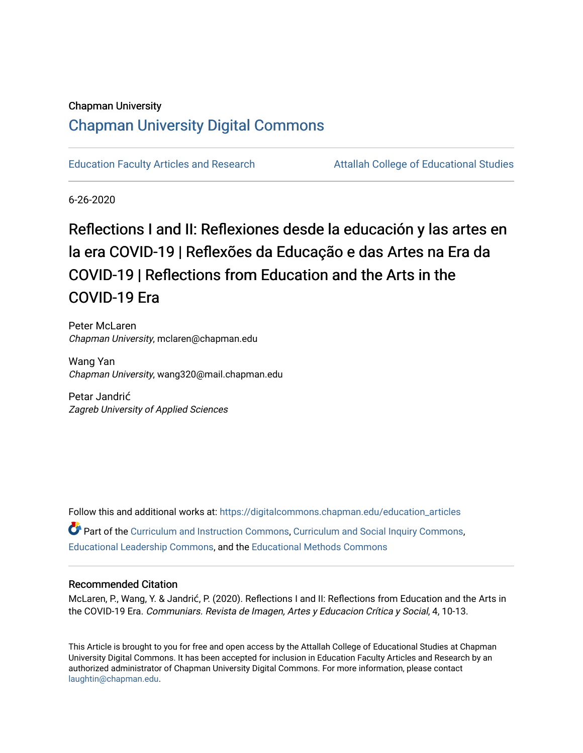### Chapman University

## [Chapman University Digital Commons](https://digitalcommons.chapman.edu/)

[Education Faculty Articles and Research](https://digitalcommons.chapman.edu/education_articles) [Attallah College of Educational Studies](https://digitalcommons.chapman.edu/ces) 

6-26-2020

# Reflections I and II: Reflexiones desde la educación y las artes en la era COVID-19 | Reflexões da Educação e das Artes na Era da COVID-19 | Reflections from Education and the Arts in the COVID-19 Era

Peter McLaren Chapman University, mclaren@chapman.edu

Wang Yan Chapman University, wang320@mail.chapman.edu

Petar Jandrić Zagreb University of Applied Sciences

Follow this and additional works at: [https://digitalcommons.chapman.edu/education\\_articles](https://digitalcommons.chapman.edu/education_articles?utm_source=digitalcommons.chapman.edu%2Feducation_articles%2F269&utm_medium=PDF&utm_campaign=PDFCoverPages)

Part of the [Curriculum and Instruction Commons,](http://network.bepress.com/hgg/discipline/786?utm_source=digitalcommons.chapman.edu%2Feducation_articles%2F269&utm_medium=PDF&utm_campaign=PDFCoverPages) [Curriculum and Social Inquiry Commons,](http://network.bepress.com/hgg/discipline/1038?utm_source=digitalcommons.chapman.edu%2Feducation_articles%2F269&utm_medium=PDF&utm_campaign=PDFCoverPages) [Educational Leadership Commons](http://network.bepress.com/hgg/discipline/1230?utm_source=digitalcommons.chapman.edu%2Feducation_articles%2F269&utm_medium=PDF&utm_campaign=PDFCoverPages), and the [Educational Methods Commons](http://network.bepress.com/hgg/discipline/1227?utm_source=digitalcommons.chapman.edu%2Feducation_articles%2F269&utm_medium=PDF&utm_campaign=PDFCoverPages) 

#### Recommended Citation

McLaren, P., Wang, Y. & Jandrić, P. (2020). Reflections I and II: Reflections from Education and the Arts in the COVID-19 Era. Communiars. Revista de Imagen, Artes y Educacion Crítica y Social, 4, 10-13.

This Article is brought to you for free and open access by the Attallah College of Educational Studies at Chapman University Digital Commons. It has been accepted for inclusion in Education Faculty Articles and Research by an authorized administrator of Chapman University Digital Commons. For more information, please contact [laughtin@chapman.edu.](mailto:laughtin@chapman.edu)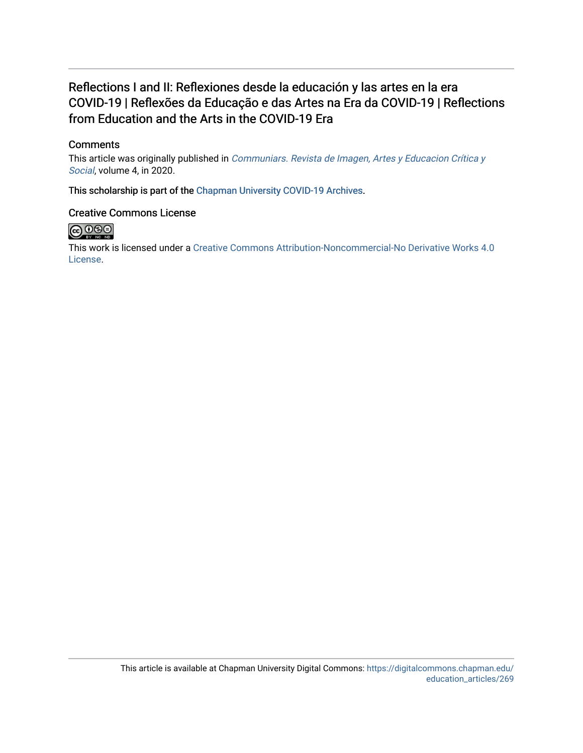## Reflections I and II: Reflexiones desde la educación y las artes en la era COVID-19 | Reflexões da Educação e das Artes na Era da COVID-19 | Reflections from Education and the Arts in the COVID-19 Era

## **Comments**

This article was originally published in Communiars. Revista de Imagen, Artes y Educacion Crítica y [Social](http://institucional.us.es/communiars/numero-4-especial-de-communiars/), volume 4, in 2020.

This scholarship is part of the [Chapman University COVID-19 Archives](https://digitalcommons.chapman.edu/covid-19_archives/).

### Creative Commons License



This work is licensed under a [Creative Commons Attribution-Noncommercial-No Derivative Works 4.0](https://creativecommons.org/licenses/by-nc-nd/4.0/) [License](https://creativecommons.org/licenses/by-nc-nd/4.0/).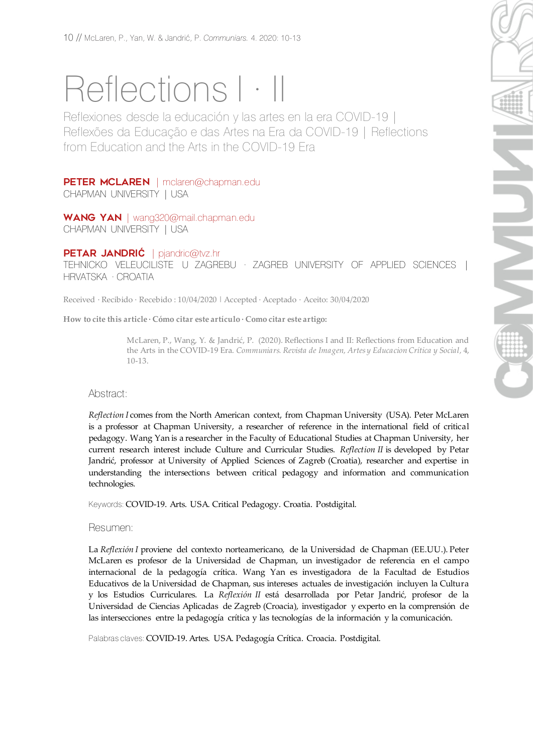# Reflections  $|\cdot|$

Reflexiones desde la educación y las artes en la era COVID-19 | Reflexões da Educação e das Artes na Era da COVID-19 | Reflections from Education and the Arts in the COVID-19 Era

## PETER MCLAREN | [mclaren@chapman.edu](mailto:mclaren@chapman.edu)

CHAPMAN UNIVERSITY | USA

WANG YAN | [wang320@mail.chapman.edu](mailto:wang320@mail.chapman.edu) CHAPMAN UNIVERSITY | USA

## PETAR JANDRI**Ć** | [pjandric@tvz.hr](mailto:pjandric@tvz.hr)

TEHNICKO VELEUCILISTE U ZAGREBU · ZAGREB UNIVERSITY OF APPLIED SCIENCES | HRVATSKA · CROATIA

Received · Recibido · Recebido : 10/04/2020 | Accepted · Aceptado · Aceito: 30/04/2020

**How to cite this article · Cómo citar este artículo · Como citar este artigo:**

McLaren, P., Wang, Y. & Jandrić, P. (2020). Reflections I and II: Reflections from Education and the Arts in the COVID-19 Era. *Communiars. Revista de Imagen, Artes y Educacion Crítica y Social,* 4, 10-13.

#### Abstract:

*Reflection I* comes from the North American context, from Chapman University (USA). Peter McLaren is a professor at Chapman University, a researcher of reference in the international field of critical pedagogy. Wang Yan is a researcher in the Faculty of Educational Studies at Chapman University, her current research interest include Culture and Curricular Studies. *Reflection II* is developed by Petar Jandrić, professor at University of Applied Sciences of Zagreb (Croatia), researcher and expertise in understanding the intersections between critical pedagogy and information and communication technologies.

Keywords: COVID-19. Arts. USA. Critical Pedagogy. Croatia. Postdigital.

Resumen:

La *Reflexión I* proviene del contexto norteamericano, de la Universidad de Chapman (EE.UU.). Peter McLaren es profesor de la Universidad de Chapman, un investigador de referencia en el campo internacional de la pedagogía crítica. Wang Yan es investigadora de la Facultad de Estudios Educativos de la Universidad de Chapman, sus intereses actuales de investigación incluyen la Cultura y los Estudios Curriculares. La *Reflexión II* está desarrollada por Petar Jandrić, profesor de la Universidad de Ciencias Aplicadas de Zagreb (Croacia), investigador y experto en la comprensión de las intersecciones entre la pedagogía crítica y las tecnologías de la información y la comunicación.

Palabras claves: COVID-19. Artes. USA. Pedagogía Crítica. Croacia. Postdigital.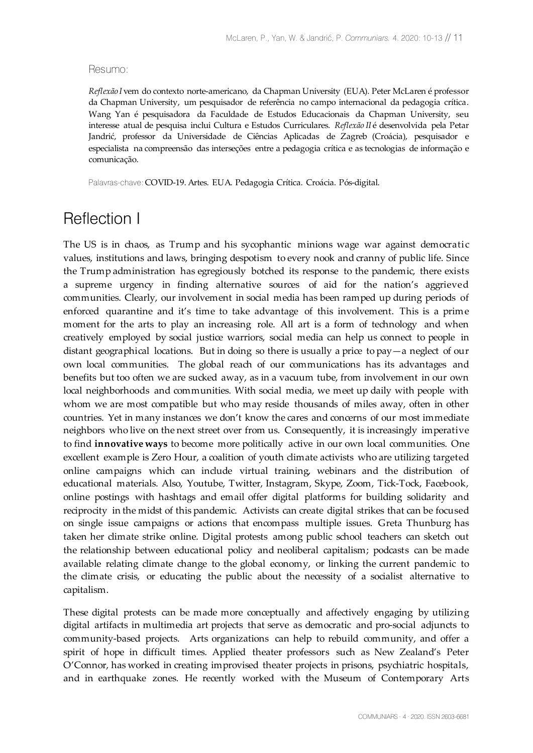#### Resumo:

*Reflexão I* vem do contexto norte-americano, da Chapman University (EUA). Peter McLaren é professor da Chapman University, um pesquisador de referência no campo internacional da pedagogia crítica. Wang Yan é pesquisadora da Faculdade de Estudos Educacionais da Chapman University, seu interesse atual de pesquisa inclui Cultura e Estudos Curriculares. *Reflexão II* é desenvolvida pela Petar Jandrić, professor da Universidade de Ciências Aplicadas de Zagreb (Croácia), pesquisador e especialista na compreensão das interseções entre a pedagogia crítica e as tecnologias de informação e comunicação.

Palavras-chave: COVID-19. Artes. EUA. Pedagogia Crítica. Croácia. Pós-digital.

## Reflection I

The US is in chaos, as Trump and his sycophantic minions wage war against democratic values, institutions and laws, bringing despotism to every nook and cranny of public life. Since the Trump administration has egregiously botched its response to the pandemic, there exists a supreme urgency in finding alternative sources of aid for the nation's aggrieved communities. Clearly, our involvement in social media has been ramped up during periods of enforced quarantine and it's time to take advantage of this involvement. This is a prime moment for the arts to play an increasing role. All art is a form of technology and when creatively employed by social justice warriors, social media can help us connect to people in distant geographical locations. But in doing so there is usually a price to pay—a neglect of our own local communities. The global reach of our communications has its advantages and benefits but too often we are sucked away, as in a vacuum tube, from involvement in our own local neighborhoods and communities. With social media, we meet up daily with people with whom we are most compatible but who may reside thousands of miles away, often in other countries. Yet in many instances we don't know the cares and concerns of our most immediate neighbors who live on the next street over from us. Consequently, it is increasingly imperative to find **innovative ways** to become more politically active in our own local communities. One excellent example is Zero Hour, a coalition of youth climate activists who are utilizing targeted online campaigns which can include virtual training, webinars and the distribution of educational materials. Also, Youtube, Twitter, Instagram, Skype, Zoom, Tick-Tock, Facebook, online postings with hashtags and email offer digital platforms for building solidarity and reciprocity in the midst of this pandemic. Activists can create digital strikes that can be focused on single issue campaigns or actions that encompass multiple issues. Greta Thunburg has taken her climate strike online. Digital protests among public school teachers can sketch out the relationship between educational policy and neoliberal capitalism; podcasts can be made available relating climate change to the global economy, or linking the current pandemic to the climate crisis, or educating the public about the necessity of a socialist alternative to capitalism.

These digital protests can be made more conceptually and affectively engaging by utilizing digital artifacts in multimedia art projects that serve as democratic and pro-social adjuncts to community-based projects. Arts organizations can help to rebuild community, and offer a spirit of hope in difficult times. Applied theater professors such as New Zealand's Peter O'Connor, has worked in creating improvised theater projects in prisons, psychiatric hospitals, and in earthquake zones. He recently worked with the Museum of Contemporary Arts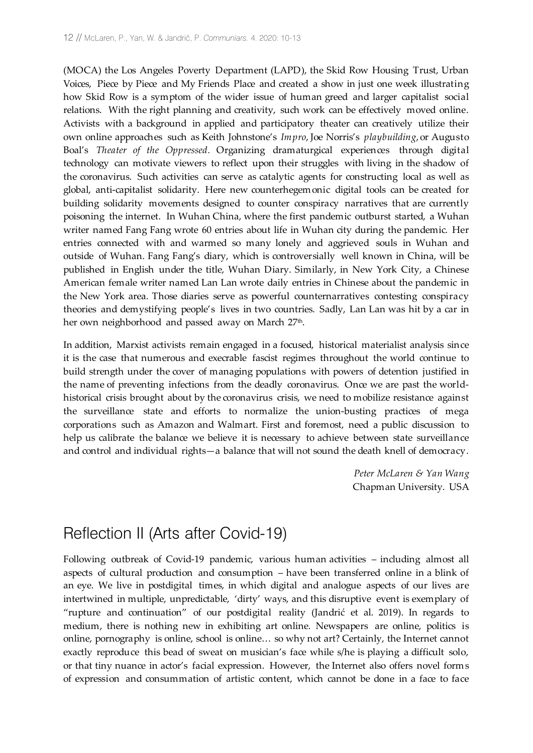(MOCA) the Los Angeles Poverty Department (LAPD), the Skid Row Housing Trust, Urban Voices, Piece by Piece and My Friends Place and created a show in just one week illustrating how Skid Row is a symptom of the wider issue of human greed and larger capitalist social relations. With the right planning and creativity, such work can be effectively moved online. Activists with a background in applied and participatory theater can creatively utilize their own online approaches such as Keith Johnstone's *Impro*, Joe Norris's *playbuilding*, or Augusto Boal's *Theater of the Oppressed.* Organizing dramaturgical experiences through digital technology can motivate viewers to reflect upon their struggles with living in the shadow of the coronavirus. Such activities can serve as catalytic agents for constructing local as well as global, anti-capitalist solidarity. Here new counterhegemonic digital tools can be created for building solidarity movements designed to counter conspiracy narratives that are currently poisoning the internet. In Wuhan China, where the first pandemic outburst started, a Wuhan writer named Fang Fang wrote 60 entries about life in Wuhan city during the pandemic. Her entries connected with and warmed so many lonely and aggrieved souls in Wuhan and outside of Wuhan. Fang Fang's diary, which is controversially well known in China, will be published in English under the title, Wuhan Diary. Similarly, in New York City, a Chinese American female writer named Lan Lan wrote daily entries in Chinese about the pandemic in the New York area. Those diaries serve as powerful counternarratives contesting conspiracy theories and demystifying people's lives in two countries. Sadly, Lan Lan was hit by a car in her own neighborhood and passed away on March 27<sup>th</sup>.

In addition, Marxist activists remain engaged in a focused, historical materialist analysis since it is the case that numerous and execrable fascist regimes throughout the world continue to build strength under the cover of managing populations with powers of detention justified in the name of preventing infections from the deadly coronavirus. Once we are past the worldhistorical crisis brought about by the coronavirus crisis, we need to mobilize resistance against the surveillance state and efforts to normalize the union-busting practices of mega corporations such as Amazon and Walmart. First and foremost, need a public discussion to help us calibrate the balance we believe it is necessary to achieve between state surveillance and control and individual rights—a balance that will not sound the death knell of democracy.

> *Peter McLaren & Yan Wang* Chapman University. USA

## Reflection II (Arts after Covid-19)

Following outbreak of Covid-19 pandemic, various human activities – including almost all aspects of cultural production and consumption – have been transferred online in a blink of an eye. We live in postdigital times, in which digital and analogue aspects of our lives are intertwined in multiple, unpredictable, 'dirty' ways, and this disruptive event is exemplary of "rupture and continuation" of our postdigital reality (Jandrić et al. 2019). In regards to medium, there is nothing new in exhibiting art online. Newspapers are online, politics is online, pornography is online, school is online… so why not art? Certainly, the Internet cannot exactly reproduce this bead of sweat on musician's face while s/he is playing a difficult solo, or that tiny nuance in actor's facial expression. However, the Internet also offers novel forms of expression and consummation of artistic content, which cannot be done in a face to face